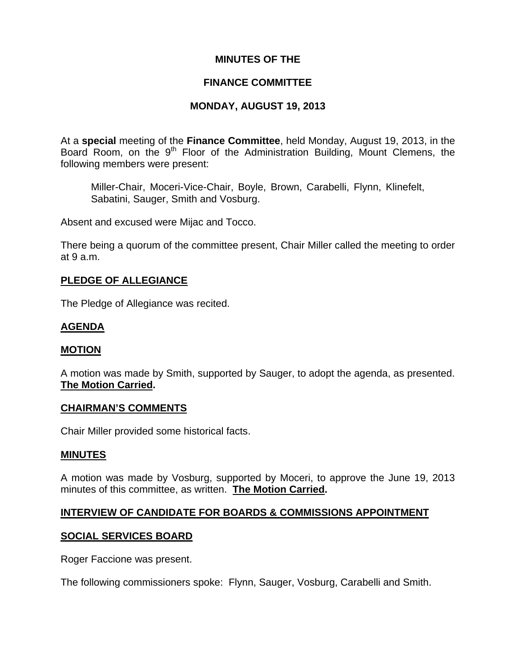## **MINUTES OF THE**

## **FINANCE COMMITTEE**

# **MONDAY, AUGUST 19, 2013**

At a **special** meeting of the **Finance Committee**, held Monday, August 19, 2013, in the Board Room, on the 9<sup>th</sup> Floor of the Administration Building, Mount Clemens, the following members were present:

Miller-Chair, Moceri-Vice-Chair, Boyle, Brown, Carabelli, Flynn, Klinefelt, Sabatini, Sauger, Smith and Vosburg.

Absent and excused were Mijac and Tocco.

There being a quorum of the committee present, Chair Miller called the meeting to order at 9 a.m.

## **PLEDGE OF ALLEGIANCE**

The Pledge of Allegiance was recited.

# **AGENDA**

## **MOTION**

A motion was made by Smith, supported by Sauger, to adopt the agenda, as presented. **The Motion Carried.** 

#### **CHAIRMAN'S COMMENTS**

Chair Miller provided some historical facts.

#### **MINUTES**

A motion was made by Vosburg, supported by Moceri, to approve the June 19, 2013 minutes of this committee, as written. **The Motion Carried.** 

## **INTERVIEW OF CANDIDATE FOR BOARDS & COMMISSIONS APPOINTMENT**

## **SOCIAL SERVICES BOARD**

Roger Faccione was present.

The following commissioners spoke: Flynn, Sauger, Vosburg, Carabelli and Smith.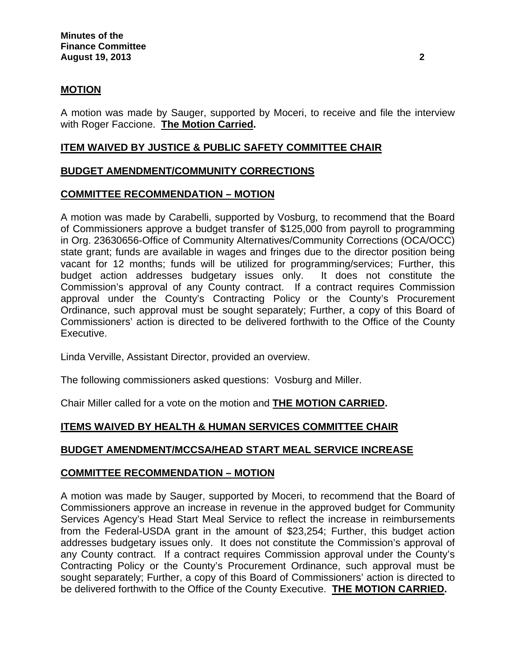### **MOTION**

A motion was made by Sauger, supported by Moceri, to receive and file the interview with Roger Faccione. **The Motion Carried.** 

#### **ITEM WAIVED BY JUSTICE & PUBLIC SAFETY COMMITTEE CHAIR**

#### **BUDGET AMENDMENT/COMMUNITY CORRECTIONS**

#### **COMMITTEE RECOMMENDATION – MOTION**

A motion was made by Carabelli, supported by Vosburg, to recommend that the Board of Commissioners approve a budget transfer of \$125,000 from payroll to programming in Org. 23630656-Office of Community Alternatives/Community Corrections (OCA/OCC) state grant; funds are available in wages and fringes due to the director position being vacant for 12 months; funds will be utilized for programming/services; Further, this budget action addresses budgetary issues only. It does not constitute the Commission's approval of any County contract. If a contract requires Commission approval under the County's Contracting Policy or the County's Procurement Ordinance, such approval must be sought separately; Further, a copy of this Board of Commissioners' action is directed to be delivered forthwith to the Office of the County Executive.

Linda Verville, Assistant Director, provided an overview.

The following commissioners asked questions: Vosburg and Miller.

Chair Miller called for a vote on the motion and **THE MOTION CARRIED.**

#### **ITEMS WAIVED BY HEALTH & HUMAN SERVICES COMMITTEE CHAIR**

#### **BUDGET AMENDMENT/MCCSA/HEAD START MEAL SERVICE INCREASE**

#### **COMMITTEE RECOMMENDATION – MOTION**

A motion was made by Sauger, supported by Moceri, to recommend that the Board of Commissioners approve an increase in revenue in the approved budget for Community Services Agency's Head Start Meal Service to reflect the increase in reimbursements from the Federal-USDA grant in the amount of \$23,254; Further, this budget action addresses budgetary issues only. It does not constitute the Commission's approval of any County contract. If a contract requires Commission approval under the County's Contracting Policy or the County's Procurement Ordinance, such approval must be sought separately; Further, a copy of this Board of Commissioners' action is directed to be delivered forthwith to the Office of the County Executive. **THE MOTION CARRIED.**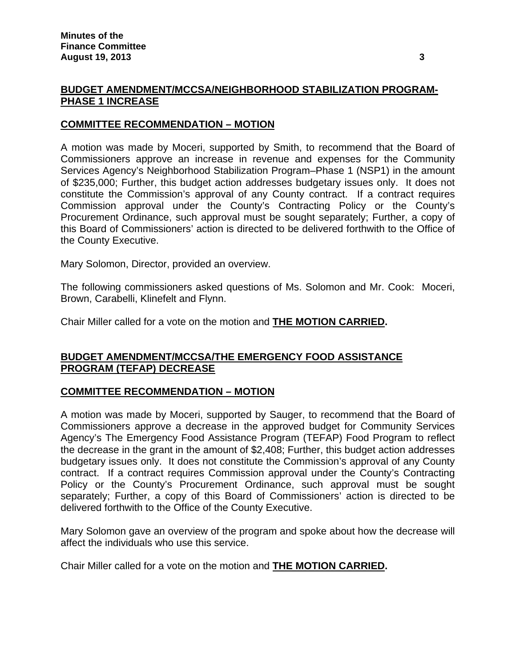## **BUDGET AMENDMENT/MCCSA/NEIGHBORHOOD STABILIZATION PROGRAM-PHASE 1 INCREASE**

### **COMMITTEE RECOMMENDATION – MOTION**

A motion was made by Moceri, supported by Smith, to recommend that the Board of Commissioners approve an increase in revenue and expenses for the Community Services Agency's Neighborhood Stabilization Program–Phase 1 (NSP1) in the amount of \$235,000; Further, this budget action addresses budgetary issues only. It does not constitute the Commission's approval of any County contract. If a contract requires Commission approval under the County's Contracting Policy or the County's Procurement Ordinance, such approval must be sought separately; Further, a copy of this Board of Commissioners' action is directed to be delivered forthwith to the Office of the County Executive.

Mary Solomon, Director, provided an overview.

The following commissioners asked questions of Ms. Solomon and Mr. Cook: Moceri, Brown, Carabelli, Klinefelt and Flynn.

Chair Miller called for a vote on the motion and **THE MOTION CARRIED.**

## **BUDGET AMENDMENT/MCCSA/THE EMERGENCY FOOD ASSISTANCE PROGRAM (TEFAP) DECREASE**

## **COMMITTEE RECOMMENDATION – MOTION**

A motion was made by Moceri, supported by Sauger, to recommend that the Board of Commissioners approve a decrease in the approved budget for Community Services Agency's The Emergency Food Assistance Program (TEFAP) Food Program to reflect the decrease in the grant in the amount of \$2,408; Further, this budget action addresses budgetary issues only. It does not constitute the Commission's approval of any County contract. If a contract requires Commission approval under the County's Contracting Policy or the County's Procurement Ordinance, such approval must be sought separately; Further, a copy of this Board of Commissioners' action is directed to be delivered forthwith to the Office of the County Executive.

Mary Solomon gave an overview of the program and spoke about how the decrease will affect the individuals who use this service.

Chair Miller called for a vote on the motion and **THE MOTION CARRIED.**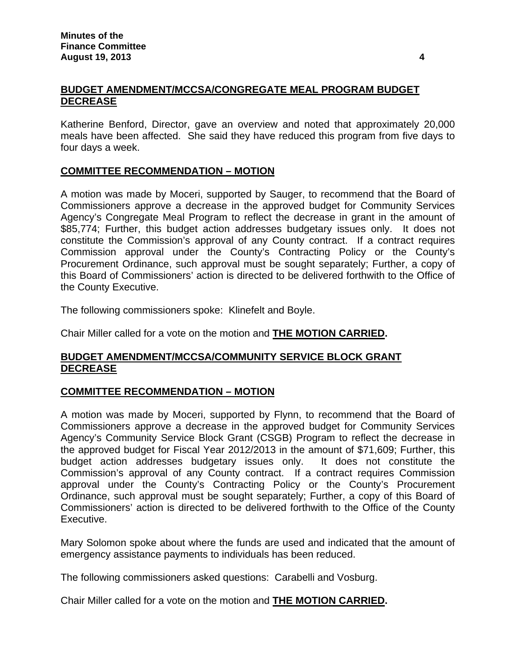# **BUDGET AMENDMENT/MCCSA/CONGREGATE MEAL PROGRAM BUDGET DECREASE**

Katherine Benford, Director, gave an overview and noted that approximately 20,000 meals have been affected. She said they have reduced this program from five days to four days a week.

# **COMMITTEE RECOMMENDATION – MOTION**

A motion was made by Moceri, supported by Sauger, to recommend that the Board of Commissioners approve a decrease in the approved budget for Community Services Agency's Congregate Meal Program to reflect the decrease in grant in the amount of \$85,774; Further, this budget action addresses budgetary issues only. It does not constitute the Commission's approval of any County contract. If a contract requires Commission approval under the County's Contracting Policy or the County's Procurement Ordinance, such approval must be sought separately; Further, a copy of this Board of Commissioners' action is directed to be delivered forthwith to the Office of the County Executive.

The following commissioners spoke: Klinefelt and Boyle.

Chair Miller called for a vote on the motion and **THE MOTION CARRIED.**

## **BUDGET AMENDMENT/MCCSA/COMMUNITY SERVICE BLOCK GRANT DECREASE**

## **COMMITTEE RECOMMENDATION – MOTION**

A motion was made by Moceri, supported by Flynn, to recommend that the Board of Commissioners approve a decrease in the approved budget for Community Services Agency's Community Service Block Grant (CSGB) Program to reflect the decrease in the approved budget for Fiscal Year 2012/2013 in the amount of \$71,609; Further, this budget action addresses budgetary issues only. It does not constitute the Commission's approval of any County contract. If a contract requires Commission approval under the County's Contracting Policy or the County's Procurement Ordinance, such approval must be sought separately; Further, a copy of this Board of Commissioners' action is directed to be delivered forthwith to the Office of the County Executive.

Mary Solomon spoke about where the funds are used and indicated that the amount of emergency assistance payments to individuals has been reduced.

The following commissioners asked questions: Carabelli and Vosburg.

Chair Miller called for a vote on the motion and **THE MOTION CARRIED.**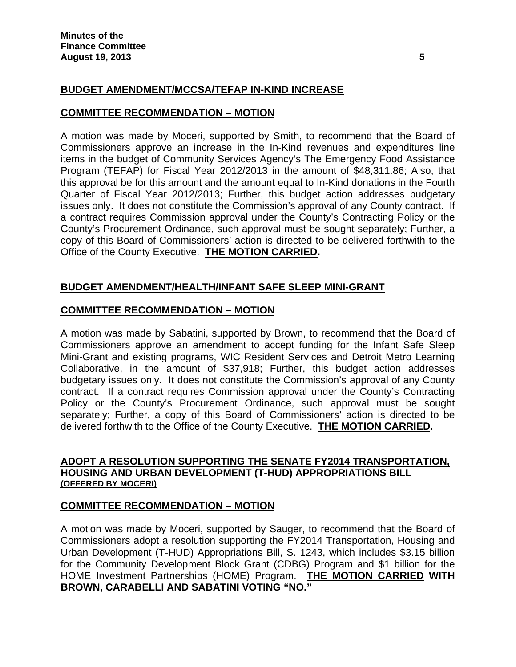# **BUDGET AMENDMENT/MCCSA/TEFAP IN-KIND INCREASE**

#### **COMMITTEE RECOMMENDATION – MOTION**

A motion was made by Moceri, supported by Smith, to recommend that the Board of Commissioners approve an increase in the In-Kind revenues and expenditures line items in the budget of Community Services Agency's The Emergency Food Assistance Program (TEFAP) for Fiscal Year 2012/2013 in the amount of \$48,311.86; Also, that this approval be for this amount and the amount equal to In-Kind donations in the Fourth Quarter of Fiscal Year 2012/2013; Further, this budget action addresses budgetary issues only. It does not constitute the Commission's approval of any County contract. If a contract requires Commission approval under the County's Contracting Policy or the County's Procurement Ordinance, such approval must be sought separately; Further, a copy of this Board of Commissioners' action is directed to be delivered forthwith to the Office of the County Executive. **THE MOTION CARRIED.** 

## **BUDGET AMENDMENT/HEALTH/INFANT SAFE SLEEP MINI-GRANT**

## **COMMITTEE RECOMMENDATION – MOTION**

A motion was made by Sabatini, supported by Brown, to recommend that the Board of Commissioners approve an amendment to accept funding for the Infant Safe Sleep Mini-Grant and existing programs, WIC Resident Services and Detroit Metro Learning Collaborative, in the amount of \$37,918; Further, this budget action addresses budgetary issues only. It does not constitute the Commission's approval of any County contract. If a contract requires Commission approval under the County's Contracting Policy or the County's Procurement Ordinance, such approval must be sought separately; Further, a copy of this Board of Commissioners' action is directed to be delivered forthwith to the Office of the County Executive. **THE MOTION CARRIED.** 

#### **ADOPT A RESOLUTION SUPPORTING THE SENATE FY2014 TRANSPORTATION, HOUSING AND URBAN DEVELOPMENT (T-HUD) APPROPRIATIONS BILL (OFFERED BY MOCERI)**

## **COMMITTEE RECOMMENDATION – MOTION**

A motion was made by Moceri, supported by Sauger, to recommend that the Board of Commissioners adopt a resolution supporting the FY2014 Transportation, Housing and Urban Development (T-HUD) Appropriations Bill, S. 1243, which includes \$3.15 billion for the Community Development Block Grant (CDBG) Program and \$1 billion for the HOME Investment Partnerships (HOME) Program. **THE MOTION CARRIED WITH BROWN, CARABELLI AND SABATINI VOTING "NO."**